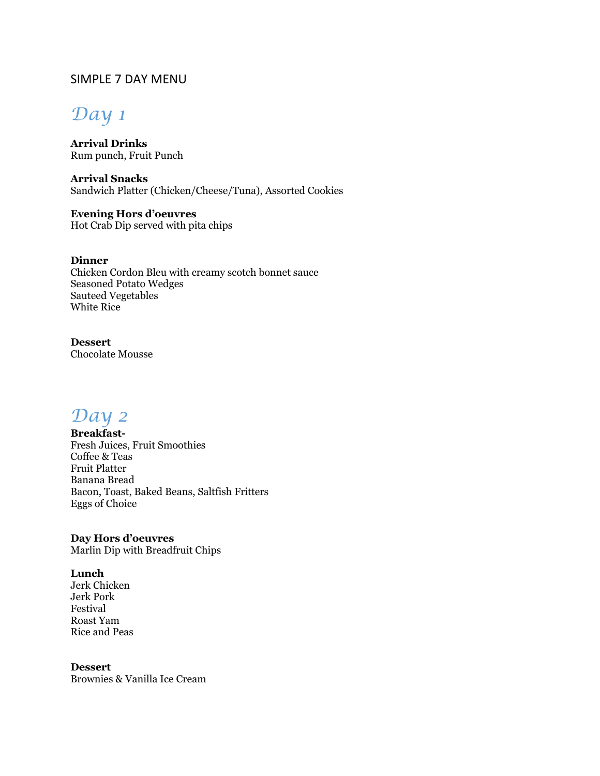## SIMPLE 7 DAY MENU

# *Day 1*

**Arrival Drinks** Rum punch, Fruit Punch

**Arrival Snacks** Sandwich Platter (Chicken/Cheese/Tuna), Assorted Cookies

**Evening Hors d'oeuvres** Hot Crab Dip served with pita chips

**Dinner** Chicken Cordon Bleu with creamy scotch bonnet sauce Seasoned Potato Wedges Sauteed Vegetables White Rice

**Dessert** Chocolate Mousse

*Day 2*

**Breakfast-**Fresh Juices, Fruit Smoothies Coffee & Teas Fruit Platter Banana Bread Bacon, Toast, Baked Beans, Saltfish Fritters Eggs of Choice

**Day Hors d'oeuvres** Marlin Dip with Breadfruit Chips

**Lunch**  Jerk Chicken Jerk Pork Festival Roast Yam Rice and Peas

**Dessert** Brownies & Vanilla Ice Cream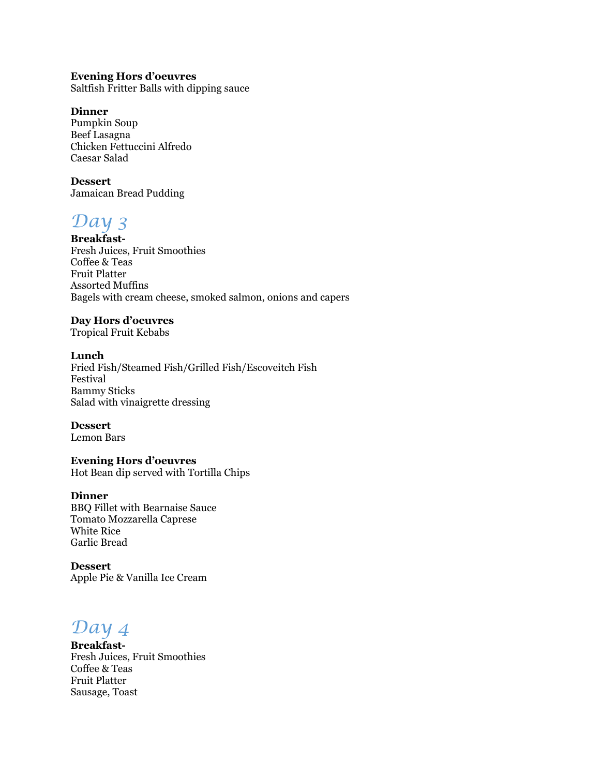### **Evening Hors d'oeuvres**

Saltfish Fritter Balls with dipping sauce

### **Dinner**

Pumpkin Soup Beef Lasagna Chicken Fettuccini Alfredo Caesar Salad

### **Dessert**

Jamaican Bread Pudding

# *Day 3*

**Breakfast-**Fresh Juices, Fruit Smoothies Coffee & Teas Fruit Platter Assorted Muffins Bagels with cream cheese, smoked salmon, onions and capers

### **Day Hors d'oeuvres**

Tropical Fruit Kebabs

### **Lunch**

Fried Fish/Steamed Fish/Grilled Fish/Escoveitch Fish Festival Bammy Sticks Salad with vinaigrette dressing

### **Dessert**

Lemon Bars

## **Evening Hors d'oeuvres**

Hot Bean dip served with Tortilla Chips

### **Dinner**

BBQ Fillet with Bearnaise Sauce Tomato Mozzarella Caprese White Rice Garlic Bread

**Dessert** Apple Pie & Vanilla Ice Cream

*Day 4*

**Breakfast-**Fresh Juices, Fruit Smoothies Coffee & Teas Fruit Platter Sausage, Toast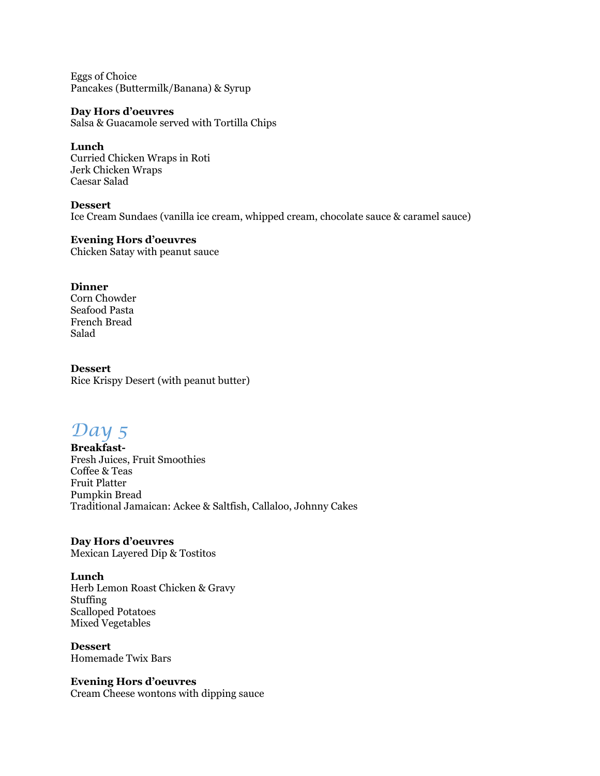Eggs of Choice Pancakes (Buttermilk/Banana) & Syrup

### **Day Hors d'oeuvres**

Salsa & Guacamole served with Tortilla Chips

### **Lunch**

Curried Chicken Wraps in Roti Jerk Chicken Wraps Caesar Salad

### **Dessert**

Ice Cream Sundaes (vanilla ice cream, whipped cream, chocolate sauce & caramel sauce)

### **Evening Hors d'oeuvres**

Chicken Satay with peanut sauce

### **Dinner**

Corn Chowder Seafood Pasta French Bread Salad

### **Dessert**

Rice Krispy Desert (with peanut butter)

# *Day 5*

**Breakfast-**Fresh Juices, Fruit Smoothies Coffee & Teas Fruit Platter Pumpkin Bread Traditional Jamaican: Ackee & Saltfish, Callaloo, Johnny Cakes

## **Day Hors d'oeuvres**

Mexican Layered Dip & Tostitos

### **Lunch**

Herb Lemon Roast Chicken & Gravy Stuffing Scalloped Potatoes Mixed Vegetables

**Dessert** Homemade Twix Bars

#### **Evening Hors d'oeuvres** Cream Cheese wontons with dipping sauce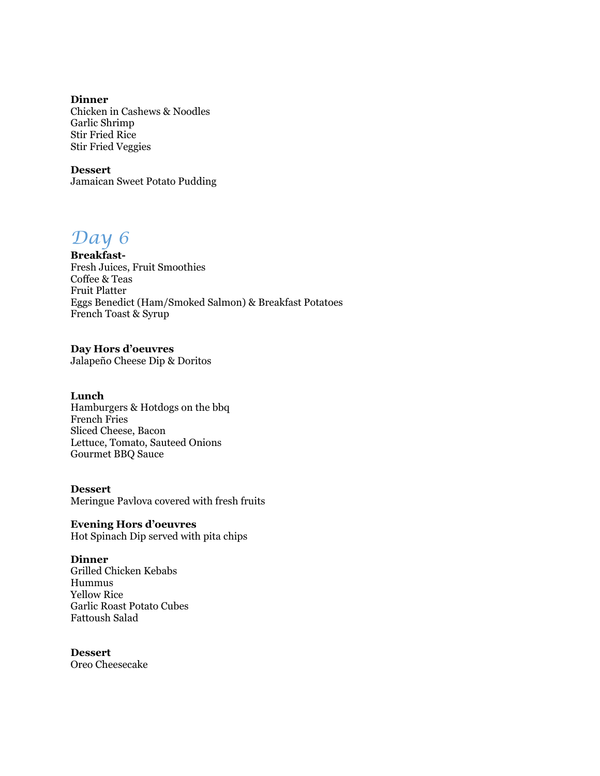**Dinner** Chicken in Cashews & Noodles Garlic Shrimp Stir Fried Rice Stir Fried Veggies

**Dessert** Jamaican Sweet Potato Pudding

# *Day 6*

**Breakfast-**Fresh Juices, Fruit Smoothies Coffee & Teas Fruit Platter Eggs Benedict (Ham/Smoked Salmon) & Breakfast Potatoes French Toast & Syrup

### **Day Hors d'oeuvres**

Jalapeño Cheese Dip & Doritos

### **Lunch**

Hamburgers & Hotdogs on the bbq French Fries Sliced Cheese, Bacon Lettuce, Tomato, Sauteed Onions Gourmet BBQ Sauce

#### **Dessert**

Meringue Pavlova covered with fresh fruits

### **Evening Hors d'oeuvres**

Hot Spinach Dip served with pita chips

### **Dinner**

Grilled Chicken Kebabs Hummus Yellow Rice Garlic Roast Potato Cubes Fattoush Salad

### **Dessert**

Oreo Cheesecake